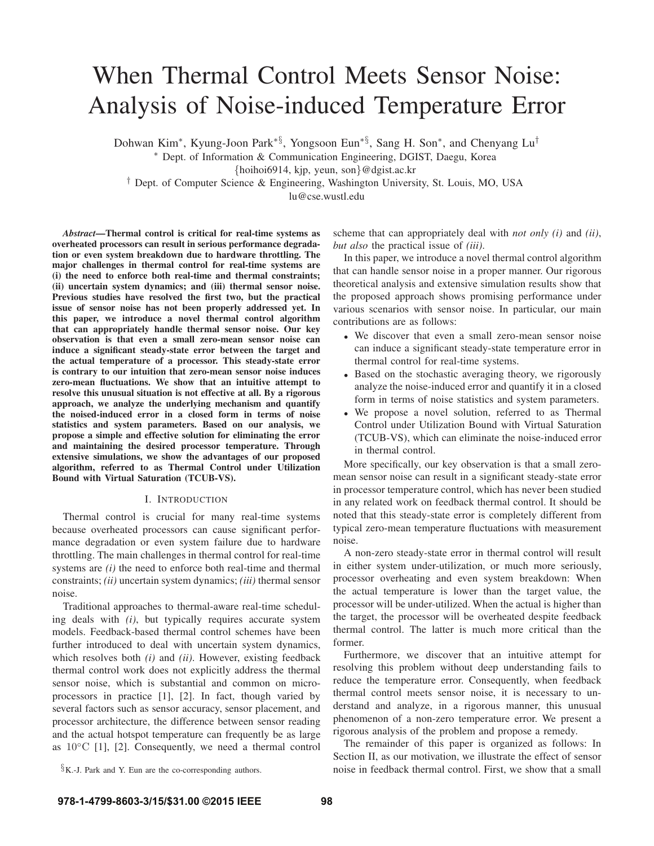# When Thermal Control Meets Sensor Noise: Analysis of Noise-induced Temperature Error

Dohwan Kim∗, Kyung-Joon Park∗§, Yongsoon Eun∗§, Sang H. Son∗, and Chenyang Lu†

<sup>∗</sup> Dept. of Information & Communication Engineering, DGIST, Daegu, Korea

{hoihoi6914, kjp, yeun, son}@dgist.ac.kr

† Dept. of Computer Science & Engineering, Washington University, St. Louis, MO, USA

lu@cse.wustl.edu

*Abstract***—Thermal control is critical for real-time systems as overheated processors can result in serious performance degradation or even system breakdown due to hardware throttling. The major challenges in thermal control for real-time systems are (i) the need to enforce both real-time and thermal constraints; (ii) uncertain system dynamics; and (iii) thermal sensor noise. Previous studies have resolved the first two, but the practical issue of sensor noise has not been properly addressed yet. In this paper, we introduce a novel thermal control algorithm that can appropriately handle thermal sensor noise. Our key observation is that even a small zero-mean sensor noise can induce a significant steady-state error between the target and the actual temperature of a processor. This steady-state error is contrary to our intuition that zero-mean sensor noise induces zero-mean fluctuations. We show that an intuitive attempt to resolve this unusual situation is not effective at all. By a rigorous approach, we analyze the underlying mechanism and quantify the noised-induced error in a closed form in terms of noise statistics and system parameters. Based on our analysis, we propose a simple and effective solution for eliminating the error and maintaining the desired processor temperature. Through extensive simulations, we show the advantages of our proposed algorithm, referred to as Thermal Control under Utilization Bound with Virtual Saturation (TCUB-VS).**

## I. INTRODUCTION

Thermal control is crucial for many real-time systems because overheated processors can cause significant performance degradation or even system failure due to hardware throttling. The main challenges in thermal control for real-time systems are *(i)* the need to enforce both real-time and thermal constraints; *(ii)* uncertain system dynamics; *(iii)* thermal sensor noise.

Traditional approaches to thermal-aware real-time scheduling deals with *(i)*, but typically requires accurate system models. Feedback-based thermal control schemes have been further introduced to deal with uncertain system dynamics, which resolves both *(i)* and *(ii)*. However, existing feedback thermal control work does not explicitly address the thermal sensor noise, which is substantial and common on microprocessors in practice [1], [2]. In fact, though varied by several factors such as sensor accuracy, sensor placement, and processor architecture, the difference between sensor reading and the actual hotspot temperature can frequently be as large as  $10^{\circ}$ C [1], [2]. Consequently, we need a thermal control scheme that can appropriately deal with *not only (i)* and *(ii)*, *but also* the practical issue of *(iii)*.

In this paper, we introduce a novel thermal control algorithm that can handle sensor noise in a proper manner. Our rigorous theoretical analysis and extensive simulation results show that the proposed approach shows promising performance under various scenarios with sensor noise. In particular, our main contributions are as follows:

- We discover that even a small zero-mean sensor noise can induce a significant steady-state temperature error in thermal control for real-time systems.
- Based on the stochastic averaging theory, we rigorously analyze the noise-induced error and quantify it in a closed form in terms of noise statistics and system parameters.
- We propose a novel solution, referred to as Thermal Control under Utilization Bound with Virtual Saturation (TCUB-VS), which can eliminate the noise-induced error in thermal control.

More specifically, our key observation is that a small zeromean sensor noise can result in a significant steady-state error in processor temperature control, which has never been studied in any related work on feedback thermal control. It should be noted that this steady-state error is completely different from typical zero-mean temperature fluctuations with measurement noise.

A non-zero steady-state error in thermal control will result in either system under-utilization, or much more seriously, processor overheating and even system breakdown: When the actual temperature is lower than the target value, the processor will be under-utilized. When the actual is higher than the target, the processor will be overheated despite feedback thermal control. The latter is much more critical than the former.

Furthermore, we discover that an intuitive attempt for resolving this problem without deep understanding fails to reduce the temperature error. Consequently, when feedback thermal control meets sensor noise, it is necessary to understand and analyze, in a rigorous manner, this unusual phenomenon of a non-zero temperature error. We present a rigorous analysis of the problem and propose a remedy.

The remainder of this paper is organized as follows: In Section II, as our motivation, we illustrate the effect of sensor noise in feedback thermal control. First, we show that a small

 $\S$ K.-J. Park and Y. Eun are the co-corresponding authors.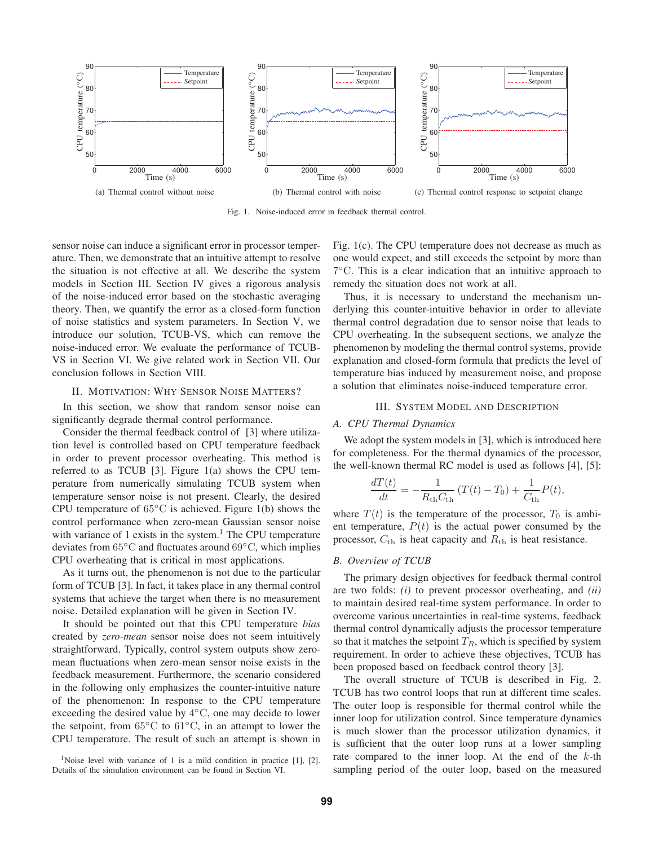

Fig. 1. Noise-induced error in feedback thermal control.

sensor noise can induce a significant error in processor temperature. Then, we demonstrate that an intuitive attempt to resolve the situation is not effective at all. We describe the system models in Section III. Section IV gives a rigorous analysis of the noise-induced error based on the stochastic averaging theory. Then, we quantify the error as a closed-form function of noise statistics and system parameters. In Section V, we introduce our solution, TCUB-VS, which can remove the noise-induced error. We evaluate the performance of TCUB-VS in Section VI. We give related work in Section VII. Our conclusion follows in Section VIII.

#### II. MOTIVATION: WHY SENSOR NOISE MATTERS?

In this section, we show that random sensor noise can significantly degrade thermal control performance.

Consider the thermal feedback control of [3] where utilization level is controlled based on CPU temperature feedback in order to prevent processor overheating. This method is referred to as TCUB [3]. Figure 1(a) shows the CPU temperature from numerically simulating TCUB system when temperature sensor noise is not present. Clearly, the desired CPU temperature of  $65^{\circ}$ C is achieved. Figure 1(b) shows the control performance when zero-mean Gaussian sensor noise with variance of 1 exists in the system.<sup>1</sup> The CPU temperature deviates from 65◦C and fluctuates around 69◦C, which implies CPU overheating that is critical in most applications.

As it turns out, the phenomenon is not due to the particular form of TCUB [3]. In fact, it takes place in any thermal control systems that achieve the target when there is no measurement noise. Detailed explanation will be given in Section IV.

It should be pointed out that this CPU temperature *bias* created by *zero-mean* sensor noise does not seem intuitively straightforward. Typically, control system outputs show zeromean fluctuations when zero-mean sensor noise exists in the feedback measurement. Furthermore, the scenario considered in the following only emphasizes the counter-intuitive nature of the phenomenon: In response to the CPU temperature exceeding the desired value by 4◦C, one may decide to lower the setpoint, from 65◦C to 61◦C, in an attempt to lower the CPU temperature. The result of such an attempt is shown in

<sup>1</sup>Noise level with variance of 1 is a mild condition in practice [1], [2]. Details of the simulation environment can be found in Section VI.

Fig. 1(c). The CPU temperature does not decrease as much as one would expect, and still exceeds the setpoint by more than 7◦C. This is a clear indication that an intuitive approach to remedy the situation does not work at all.

Thus, it is necessary to understand the mechanism underlying this counter-intuitive behavior in order to alleviate thermal control degradation due to sensor noise that leads to CPU overheating. In the subsequent sections, we analyze the phenomenon by modeling the thermal control systems, provide explanation and closed-form formula that predicts the level of temperature bias induced by measurement noise, and propose a solution that eliminates noise-induced temperature error.

## III. SYSTEM MODEL AND DESCRIPTION

## *A. CPU Thermal Dynamics*

We adopt the system models in [3], which is introduced here for completeness. For the thermal dynamics of the processor, the well-known thermal RC model is used as follows [4], [5]:

$$
\frac{dT(t)}{dt} = -\frac{1}{R_{\rm th}C_{\rm th}} (T(t) - T_0) + \frac{1}{C_{\rm th}} P(t),
$$

where  $T(t)$  is the temperature of the processor,  $T_0$  is ambient temperature,  $P(t)$  is the actual power consumed by the processor,  $C_{\text{th}}$  is heat capacity and  $R_{\text{th}}$  is heat resistance.

## *B. Overview of TCUB*

The primary design objectives for feedback thermal control are two folds: *(i)* to prevent processor overheating, and *(ii)* to maintain desired real-time system performance. In order to overcome various uncertainties in real-time systems, feedback thermal control dynamically adjusts the processor temperature so that it matches the setpoint  $T_R$ , which is specified by system requirement. In order to achieve these objectives, TCUB has been proposed based on feedback control theory [3].

The overall structure of TCUB is described in Fig. 2. TCUB has two control loops that run at different time scales. The outer loop is responsible for thermal control while the inner loop for utilization control. Since temperature dynamics is much slower than the processor utilization dynamics, it is sufficient that the outer loop runs at a lower sampling rate compared to the inner loop. At the end of the  $k$ -th sampling period of the outer loop, based on the measured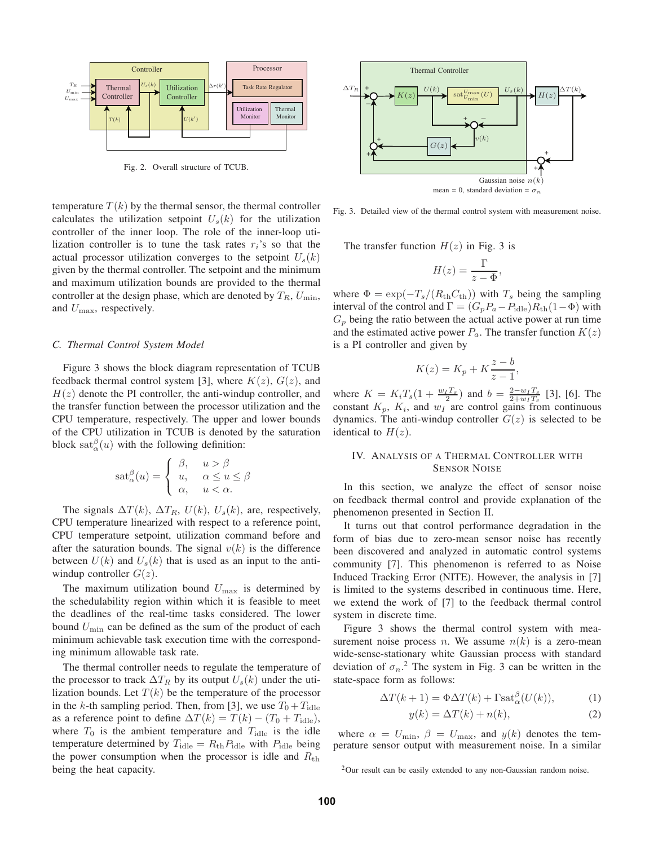

Fig. 2. Overall structure of TCUB.

temperature  $T(k)$  by the thermal sensor, the thermal controller calculates the utilization setpoint  $U_s(k)$  for the utilization controller of the inner loop. The role of the inner-loop utilization controller is to tune the task rates  $r_i$ 's so that the actual processor utilization converges to the setpoint  $U_s(k)$ given by the thermal controller. The setpoint and the minimum and maximum utilization bounds are provided to the thermal controller at the design phase, which are denoted by  $T_R$ ,  $U_{\text{min}}$ , and  $U_{\text{max}}$ , respectively.

## *C. Thermal Control System Model*

Figure 3 shows the block diagram representation of TCUB feedback thermal control system [3], where  $K(z)$ ,  $G(z)$ , and  $H(z)$  denote the PI controller, the anti-windup controller, and the transfer function between the processor utilization and the CPU temperature, respectively. The upper and lower bounds of the CPU utilization in TCUB is denoted by the saturation block  $\text{sat}_{\alpha}^{\beta}(u)$  with the following definition:

$$
\mathrm{sat}^{\beta}_{\alpha}(u)=\left\{\begin{array}{ll}\beta,&u>\beta\\\ u,&\alpha\leq u\leq\beta\\\alpha,&u<\alpha.\end{array}\right.
$$

The signals  $\Delta T(k)$ ,  $\Delta T_R$ ,  $U(k)$ ,  $U_s(k)$ , are, respectively, CPU temperature linearized with respect to a reference point, CPU temperature setpoint, utilization command before and after the saturation bounds. The signal  $v(k)$  is the difference between  $U(k)$  and  $U_s(k)$  that is used as an input to the antiwindup controller  $G(z)$ .

The maximum utilization bound  $U_{\text{max}}$  is determined by the schedulability region within which it is feasible to meet the deadlines of the real-time tasks considered. The lower bound  $U_{\text{min}}$  can be defined as the sum of the product of each minimum achievable task execution time with the corresponding minimum allowable task rate.

The thermal controller needs to regulate the temperature of the processor to track  $\Delta T_R$  by its output  $U_s(k)$  under the utilization bounds. Let  $T(k)$  be the temperature of the processor in the k-th sampling period. Then, from [3], we use  $T_0 + T_{idle}$ as a reference point to define  $\Delta T(k) = T(k) - (T_0 + T_{idle})$ , where  $T_0$  is the ambient temperature and  $T_{\text{idle}}$  is the idle temperature determined by  $T_{idle} = R_{th}P_{idle}$  with  $P_{idle}$  being the power consumption when the processor is idle and  $R_{\text{th}}$ being the heat capacity.



Fig. 3. Detailed view of the thermal control system with measurement noise.

The transfer function  $H(z)$  in Fig. 3 is

$$
H(z) = \frac{\Gamma}{z - \Phi},
$$

where  $\Phi = \exp(-T_s/(R_{\text{th}}C_{\text{th}}))$  with  $T_s$  being the sampling interval of the control and  $\Gamma = (G_p P_a - P_{idle})R_{th}(1-\Phi)$  with  $G_p$  being the ratio between the actual active power at run time and the estimated active power  $P_a$ . The transfer function  $K(z)$ is a PI controller and given by

$$
K(z) = K_p + K \frac{z - b}{z - 1},
$$

where  $K = K_i T_s (1 + \frac{w_I T_s}{2})$  and  $b = \frac{2 - w_I T_s}{2 + w_I T_s}$  [3], [6]. The constant  $K_p$ ,  $K_i$ , and  $w_I$  are control gains from continuous dynamics. The anti-windup controller  $G(z)$  is selected to be identical to  $H(z)$ .

## IV. ANALYSIS OF A THERMAL CONTROLLER WITH SENSOR NOISE

In this section, we analyze the effect of sensor noise on feedback thermal control and provide explanation of the phenomenon presented in Section II.

It turns out that control performance degradation in the form of bias due to zero-mean sensor noise has recently been discovered and analyzed in automatic control systems community [7]. This phenomenon is referred to as Noise Induced Tracking Error (NITE). However, the analysis in [7] is limited to the systems described in continuous time. Here, we extend the work of [7] to the feedback thermal control system in discrete time.

Figure 3 shows the thermal control system with measurement noise process *n*. We assume  $n(k)$  is a zero-mean wide-sense-stationary white Gaussian process with standard deviation of  $\sigma_n$ <sup>2</sup>. The system in Fig. 3 can be written in the state-space form as follows:

$$
\Delta T(k+1) = \Phi \Delta T(k) + \Gamma \mathrm{sat}_{\alpha}^{\beta}(U(k)),\tag{1}
$$

$$
y(k) = \Delta T(k) + n(k),\tag{2}
$$

where  $\alpha = U_{\text{min}}$ ,  $\beta = U_{\text{max}}$ , and  $y(k)$  denotes the temperature sensor output with measurement noise. In a similar

<sup>&</sup>lt;sup>2</sup>Our result can be easily extended to any non-Gaussian random noise.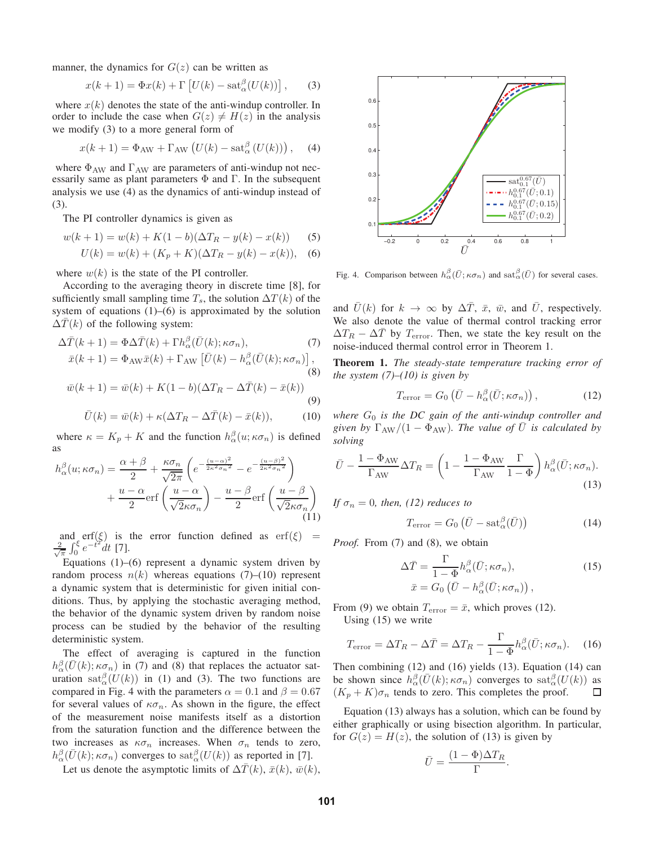manner, the dynamics for  $G(z)$  can be written as

$$
x(k+1) = \Phi x(k) + \Gamma \left[ U(k) - \operatorname{sat}^{\beta}_{\alpha}(U(k)) \right],\tag{3}
$$

where  $x(k)$  denotes the state of the anti-windup controller. In order to include the case when  $G(z) \neq H(z)$  in the analysis we modify (3) to a more general form of

$$
x(k+1) = \Phi_{\text{AW}} + \Gamma_{\text{AW}} \left( U(k) - \text{sat}_{\alpha}^{\beta} \left( U(k) \right) \right), \quad (4)
$$

where  $\Phi_{AW}$  and  $\Gamma_{AW}$  are parameters of anti-windup not necessarily same as plant parameters  $\Phi$  and  $\Gamma$ . In the subsequent analysis we use (4) as the dynamics of anti-windup instead of (3).

The PI controller dynamics is given as

$$
w(k + 1) = w(k) + K(1 - b)(\Delta T_R - y(k) - x(k))
$$
 (5)

$$
U(k) = w(k) + (K_p + K)(\Delta T_R - y(k) - x(k)),
$$
 (6)

where  $w(k)$  is the state of the PI controller.

According to the averaging theory in discrete time [8], for sufficiently small sampling time  $T_s$ , the solution  $\Delta T(k)$  of the system of equations (1)–(6) is approximated by the solution  $\Delta T(k)$  of the following system:

$$
\Delta \bar{T}(k+1) = \Phi \Delta \bar{T}(k) + \Gamma h_{\alpha}^{\beta}(\bar{U}(k); \kappa \sigma_n), \tag{7}
$$

$$
\bar{x}(k+1) = \Phi_{\text{AW}}\bar{x}(k) + \Gamma_{\text{AW}}\left[\bar{U}(k) - h_{\alpha}^{\beta}(\bar{U}(k); \kappa \sigma_n)\right],\tag{8}
$$

$$
\bar{w}(k+1) = \bar{w}(k) + K(1-b)(\Delta T_R - \Delta \bar{T}(k) - \bar{x}(k))
$$
\n(9)

$$
\bar{U}(k) = \bar{w}(k) + \kappa(\Delta T_R - \Delta \bar{T}(k) - \bar{x}(k)),\tag{10}
$$

where  $\kappa = K_p + K$  and the function  $h^{\beta}_{\alpha}(u; \kappa \sigma_n)$  is defined as

$$
h_{\alpha}^{\beta}(u;\kappa\sigma_{n}) = \frac{\alpha + \beta}{2} + \frac{\kappa\sigma_{n}}{\sqrt{2\pi}} \left( e^{-\frac{(u-\alpha)^{2}}{2\kappa^{2}\sigma_{n}^{2}}} - e^{-\frac{(u-\beta)^{2}}{2\kappa^{2}\sigma_{n}^{2}}} \right) + \frac{u-\alpha}{2} \text{erf}\left(\frac{u-\alpha}{\sqrt{2}\kappa\sigma_{n}}\right) - \frac{u-\beta}{2} \text{erf}\left(\frac{u-\beta}{\sqrt{2}\kappa\sigma_{n}}\right)
$$
\n(11)

and erf( $\xi$ ) is the error function defined as erf( $\xi$ ) =  $\frac{2}{\sqrt{\pi}} \int_0^{\xi} e^{-t^2} dt$  [7].

Equations  $(1)$ – $(6)$  represent a dynamic system driven by random process  $n(k)$  whereas equations (7)–(10) represent a dynamic system that is deterministic for given initial conditions. Thus, by applying the stochastic averaging method, the behavior of the dynamic system driven by random noise process can be studied by the behavior of the resulting deterministic system.

The effect of averaging is captured in the function  $h_{\alpha}^{\beta}(\bar{U}(k); \kappa \sigma_n)$  in (7) and (8) that replaces the actuator saturation  $\text{sat}_{\alpha}^{\beta}(U(k))$  in (1) and (3). The two functions are compared in Fig. 4 with the parameters  $\alpha = 0.1$  and  $\beta = 0.67$ for several values of  $\kappa \sigma_n$ . As shown in the figure, the effect of the measurement noise manifests itself as a distortion from the saturation function and the difference between the two increases as  $\kappa \sigma_n$  increases. When  $\sigma_n$  tends to zero,  $h_{\alpha}^{\beta}(\bar{U}(k); \kappa \sigma_n)$  converges to  $\mathrm{sat}_{\alpha}^{\beta}(U(k))$  as reported in [7].

Let us denote the asymptotic limits of  $\Delta \bar{T}(k)$ ,  $\bar{x}(k)$ ,  $\bar{w}(k)$ ,



Fig. 4. Comparison between  $h_{\alpha}^{\beta}(\bar{U}; \kappa \sigma_n)$  and  $\text{sat}_{\alpha}^{\beta}(\bar{U})$  for several cases.

and  $\bar{U}(k)$  for  $k \to \infty$  by  $\Delta \bar{T}$ ,  $\bar{x}$ ,  $\bar{w}$ , and  $\bar{U}$ , respectively. We also denote the value of thermal control tracking error  $\Delta T_R - \Delta \bar{T}$  by  $T_{\text{error}}$ . Then, we state the key result on the noise-induced thermal control error in Theorem 1.

**Theorem 1.** *The steady-state temperature tracking error of the system (7)–(10) is given by*

$$
T_{\text{error}} = G_0 \left( \bar{U} - h_{\alpha}^{\beta} (\bar{U}; \kappa \sigma_n) \right), \tag{12}
$$

where  $G_0$  *is the DC gain of the anti-windup controller and given by*  $\Gamma_{AW}/(1 - \Phi_{AW})$ *. The value of U is calculated by solving*

$$
\bar{U} - \frac{1 - \Phi_{AW}}{\Gamma_{AW}} \Delta T_R = \left( 1 - \frac{1 - \Phi_{AW}}{\Gamma_{AW}} \frac{\Gamma}{1 - \Phi} \right) h_{\alpha}^{\beta}(\bar{U}; \kappa \sigma_n).
$$
\n(13)

If 
$$
\sigma_n = 0
$$
, then, (12) reduces to  

$$
T_{\text{error}} = G_0 \left( \bar{U} - \text{sat}^{\beta}_{\alpha}(\bar{U}) \right)
$$
(14)

*Proof.* From (7) and (8), we obtain

$$
\Delta \bar{T} = \frac{\Gamma}{1 - \Phi} h_{\alpha}^{\beta} (\bar{U}; \kappa \sigma_n),
$$
  
\n
$$
\bar{x} = G_0 (\bar{U} - h_{\alpha}^{\beta} (\bar{U}; \kappa \sigma_n)),
$$
\n(15)

From (9) we obtain  $T_{\text{error}} = \bar{x}$ , which proves (12). Using (15) we write

$$
T_{\text{error}} = \Delta T_R - \Delta \bar{T} = \Delta T_R - \frac{\Gamma}{1 - \Phi} h_{\alpha}^{\beta} (\bar{U}; \kappa \sigma_n). \quad (16)
$$

Then combining (12) and (16) yields (13). Equation (14) can be shown since  $h_{\alpha}^{\beta}(\bar{U}(k); \kappa \sigma_n)$  converges to  $\text{sat}_{\alpha}^{\beta}(U(k))$  as  $(K_p + K)\sigma_n$  tends to zero. This completes the proof.  $\Box$ 

Equation (13) always has a solution, which can be found by either graphically or using bisection algorithm. In particular, for  $G(z) = H(z)$ , the solution of (13) is given by

$$
\bar{U} = \frac{(1 - \Phi)\Delta T_R}{\Gamma}.
$$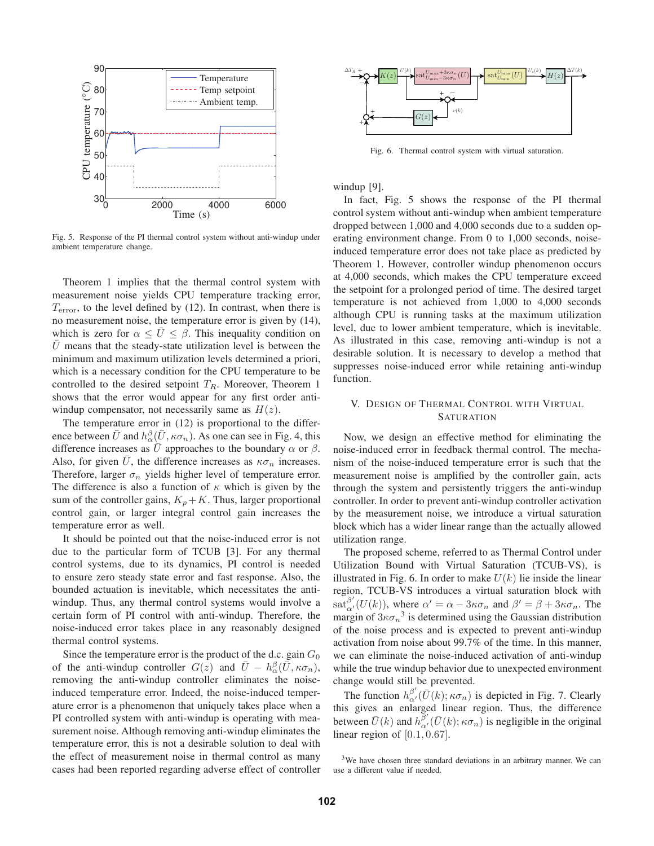

Fig. 5. Response of the PI thermal control system without anti-windup under ambient temperature change.

Theorem 1 implies that the thermal control system with measurement noise yields CPU temperature tracking error,  $T_{\text{error}}$ , to the level defined by (12). In contrast, when there is no measurement noise, the temperature error is given by (14), which is zero for  $\alpha \leq \overline{U} \leq \beta$ . This inequality condition on  $U$  means that the steady-state utilization level is between the minimum and maximum utilization levels determined a priori, which is a necessary condition for the CPU temperature to be controlled to the desired setpoint  $T_R$ . Moreover, Theorem 1 shows that the error would appear for any first order antiwindup compensator, not necessarily same as  $H(z)$ .

The temperature error in (12) is proportional to the difference between  $\bar{U}$  and  $h_{\alpha}^{\beta}(\bar{U}, \kappa \sigma_n)$ . As one can see in Fig. 4, this difference increases as  $\bar{U}$  approaches to the boundary  $\alpha$  or  $\beta$ . Also, for given U, the difference increases as  $\kappa \sigma_n$  increases. Therefore, larger  $\sigma_n$  yields higher level of temperature error. The difference is also a function of  $\kappa$  which is given by the sum of the controller gains,  $K_p+K$ . Thus, larger proportional control gain, or larger integral control gain increases the temperature error as well.

It should be pointed out that the noise-induced error is not due to the particular form of TCUB [3]. For any thermal control systems, due to its dynamics, PI control is needed to ensure zero steady state error and fast response. Also, the bounded actuation is inevitable, which necessitates the antiwindup. Thus, any thermal control systems would involve a certain form of PI control with anti-windup. Therefore, the noise-induced error takes place in any reasonably designed thermal control systems.

Since the temperature error is the product of the d.c. gain  $G_0$ of the anti-windup controller  $G(z)$  and  $\overline{U} - h^{\beta}_{\alpha}(\overline{U}, \kappa \sigma_n)$ , removing the anti-windup controller eliminates the noiseinduced temperature error. Indeed, the noise-induced temperature error is a phenomenon that uniquely takes place when a PI controlled system with anti-windup is operating with measurement noise. Although removing anti-windup eliminates the temperature error, this is not a desirable solution to deal with the effect of measurement noise in thermal control as many cases had been reported regarding adverse effect of controller



Fig. 6. Thermal control system with virtual saturation.

windup [9].

In fact, Fig. 5 shows the response of the PI thermal control system without anti-windup when ambient temperature dropped between 1,000 and 4,000 seconds due to a sudden operating environment change. From 0 to 1,000 seconds, noiseinduced temperature error does not take place as predicted by Theorem 1. However, controller windup phenomenon occurs at 4,000 seconds, which makes the CPU temperature exceed the setpoint for a prolonged period of time. The desired target temperature is not achieved from 1,000 to 4,000 seconds although CPU is running tasks at the maximum utilization level, due to lower ambient temperature, which is inevitable. As illustrated in this case, removing anti-windup is not a desirable solution. It is necessary to develop a method that suppresses noise-induced error while retaining anti-windup function.

# V. DESIGN OF THERMAL CONTROL WITH VIRTUAL **SATURATION**

Now, we design an effective method for eliminating the noise-induced error in feedback thermal control. The mechanism of the noise-induced temperature error is such that the measurement noise is amplified by the controller gain, acts through the system and persistently triggers the anti-windup controller. In order to prevent anti-windup controller activation by the measurement noise, we introduce a virtual saturation block which has a wider linear range than the actually allowed utilization range.

The proposed scheme, referred to as Thermal Control under Utilization Bound with Virtual Saturation (TCUB-VS), is illustrated in Fig. 6. In order to make  $U(k)$  lie inside the linear region, TCUB-VS introduces a virtual saturation block with  $\text{sat}_{\alpha'}^{\beta'}(U(k))$ , where  $\alpha' = \alpha - 3\kappa\sigma_n$  and  $\beta' = \beta + 3\kappa\sigma_n$ . The margin of  $3\kappa\sigma_n^3$  is determined using the Gaussian distribution of the noise process and is expected to prevent anti-windup activation from noise about 99.7% of the time. In this manner, we can eliminate the noise-induced activation of anti-windup while the true windup behavior due to unexpected environment change would still be prevented.

The function  $h_{\alpha}^{\beta'}(\overline{U}(k); \kappa \sigma_n)$  is depicted in Fig. 7. Clearly this gives an enlarged linear region. Thus, the difference between  $\overline{U}(k)$  and  $h_{\alpha'}^{\beta'}(\overline{U}(k); \kappa \sigma_n)$  is negligible in the original linear region of  $[0.1, 0.67]$ .

<sup>&</sup>lt;sup>3</sup>We have chosen three standard deviations in an arbitrary manner. We can use a different value if needed.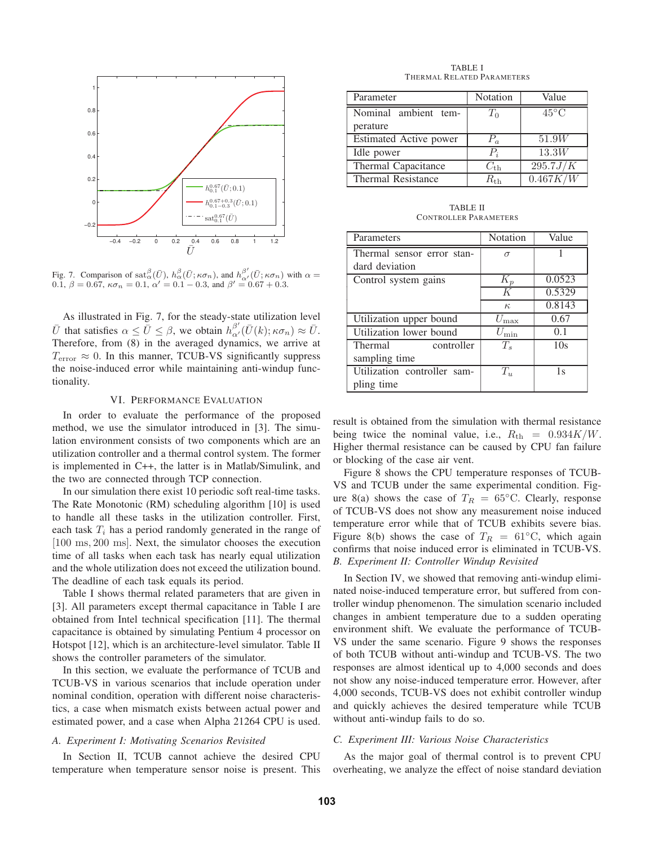

Fig. 7. Comparison of  $\text{sat}^{\beta}_{\alpha}(\bar{U}), h^{\beta}_{\alpha}(\bar{U}; \kappa\sigma_n),$  and  $h^{\beta'}_{\alpha'}(\bar{U}; \kappa\sigma_n)$  with  $\alpha =$ 0.1,  $\beta = 0.67$ ,  $\kappa \sigma_n = 0.1$ ,  $\alpha' = 0.1 - 0.3$ , and  $\beta' = 0.67 + 0.3$ .

As illustrated in Fig. 7, for the steady-state utilization level Understand the satisfies  $\alpha \leq \bar{U} \leq \beta$ , we obtain  $h_{\alpha'}^{\beta'}(\bar{U}(k); \kappa \sigma_n) \approx \bar{U}$ . Therefore, from (8) in the averaged dynamics, we arrive at  $T_{\text{error}} \approx 0$ . In this manner, TCUB-VS significantly suppress the noise-induced error while maintaining anti-windup functionality.

## VI. PERFORMANCE EVALUATION

In order to evaluate the performance of the proposed method, we use the simulator introduced in [3]. The simulation environment consists of two components which are an utilization controller and a thermal control system. The former is implemented in C++, the latter is in Matlab/Simulink, and the two are connected through TCP connection.

In our simulation there exist 10 periodic soft real-time tasks. The Rate Monotonic (RM) scheduling algorithm [10] is used to handle all these tasks in the utilization controller. First, each task  $T_i$  has a period randomly generated in the range of [100 ms, 200 ms]. Next, the simulator chooses the execution time of all tasks when each task has nearly equal utilization and the whole utilization does not exceed the utilization bound. The deadline of each task equals its period.

Table I shows thermal related parameters that are given in [3]. All parameters except thermal capacitance in Table I are obtained from Intel technical specification [11]. The thermal capacitance is obtained by simulating Pentium 4 processor on Hotspot [12], which is an architecture-level simulator. Table II shows the controller parameters of the simulator.

In this section, we evaluate the performance of TCUB and TCUB-VS in various scenarios that include operation under nominal condition, operation with different noise characteristics, a case when mismatch exists between actual power and estimated power, and a case when Alpha 21264 CPU is used.

#### *A. Experiment I: Motivating Scenarios Revisited*

In Section II, TCUB cannot achieve the desired CPU temperature when temperature sensor noise is present. This

TABLE I THERMAL RELATED PARAMETERS

| Parameter                 | Notation     | Value                 |
|---------------------------|--------------|-----------------------|
| Nominal ambient tem-      | $T_0$        | $45^{\circ}$ C        |
| perature                  |              |                       |
| Estimated Active power    | $P_a$        | 51.9W                 |
| Idle power                | $P_i$        | $13.3\overline{W}$    |
| Thermal Capacitance       | $C_{\rm th}$ | 295.7J/K              |
| <b>Thermal Resistance</b> | $R_{\rm th}$ | $0.467K/\overline{W}$ |

TABLE II CONTROLLER PARAMETERS

| Parameters                   | Notation   | Value  |
|------------------------------|------------|--------|
| Thermal sensor error stan-   | σ          |        |
| dard deviation               |            |        |
| Control system gains         | $K_p$      | 0.0523 |
|                              | K          | 0.5329 |
|                              | $\kappa$   | 0.8143 |
| Utilization upper bound      | max        | 0.67   |
| Utilization lower bound      | $U_{\min}$ | 0.1    |
| <b>Thermal</b><br>controller | $T_s$      | 10s    |
| sampling time                |            |        |
| Utilization controller sam-  | $T_u$      | 1s     |
| pling time                   |            |        |

result is obtained from the simulation with thermal resistance being twice the nominal value, i.e.,  $R_{\text{th}} = 0.934 K/W$ . Higher thermal resistance can be caused by CPU fan failure or blocking of the case air vent.

Figure 8 shows the CPU temperature responses of TCUB-VS and TCUB under the same experimental condition. Figure 8(a) shows the case of  $T_R = 65^{\circ}$ C. Clearly, response of TCUB-VS does not show any measurement noise induced temperature error while that of TCUB exhibits severe bias. Figure 8(b) shows the case of  $T_R = 61°C$ , which again confirms that noise induced error is eliminated in TCUB-VS. *B. Experiment II: Controller Windup Revisited*

In Section IV, we showed that removing anti-windup eliminated noise-induced temperature error, but suffered from controller windup phenomenon. The simulation scenario included changes in ambient temperature due to a sudden operating environment shift. We evaluate the performance of TCUB-VS under the same scenario. Figure 9 shows the responses of both TCUB without anti-windup and TCUB-VS. The two responses are almost identical up to 4,000 seconds and does not show any noise-induced temperature error. However, after 4,000 seconds, TCUB-VS does not exhibit controller windup and quickly achieves the desired temperature while TCUB without anti-windup fails to do so.

### *C. Experiment III: Various Noise Characteristics*

As the major goal of thermal control is to prevent CPU overheating, we analyze the effect of noise standard deviation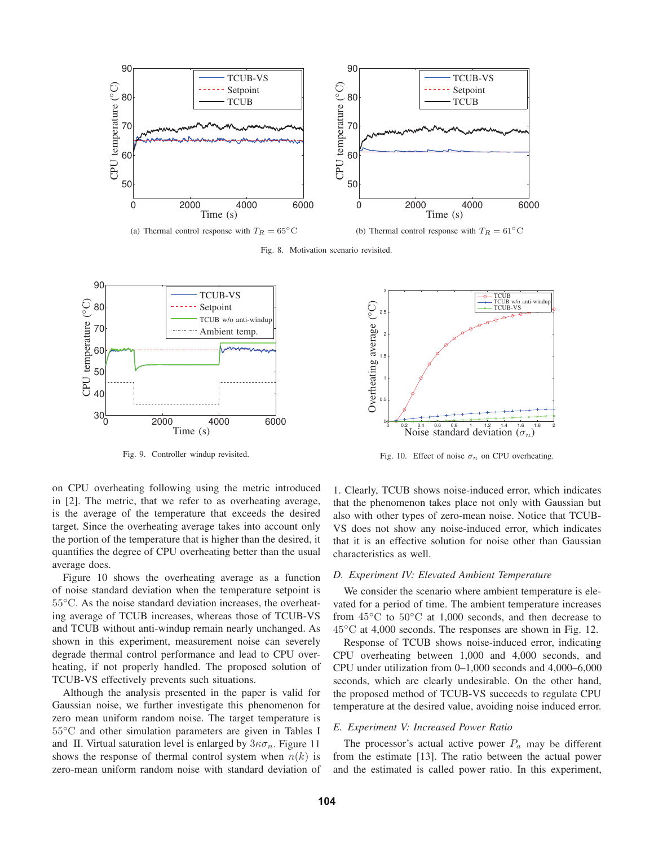

Fig. 8. Motivation scenario revisited.



Fig. 9. Controller windup revisited.

on CPU overheating following using the metric introduced in [2]. The metric, that we refer to as overheating average, is the average of the temperature that exceeds the desired target. Since the overheating average takes into account only the portion of the temperature that is higher than the desired, it quantifies the degree of CPU overheating better than the usual average does.

Figure 10 shows the overheating average as a function of noise standard deviation when the temperature setpoint is 55◦C. As the noise standard deviation increases, the overheating average of TCUB increases, whereas those of TCUB-VS and TCUB without anti-windup remain nearly unchanged. As shown in this experiment, measurement noise can severely degrade thermal control performance and lead to CPU overheating, if not properly handled. The proposed solution of TCUB-VS effectively prevents such situations.

Although the analysis presented in the paper is valid for Gaussian noise, we further investigate this phenomenon for zero mean uniform random noise. The target temperature is 55◦C and other simulation parameters are given in Tables I and II. Virtual saturation level is enlarged by  $3\kappa\sigma_n$ . Figure 11 shows the response of thermal control system when  $n(k)$  is zero-mean uniform random noise with standard deviation of



Fig. 10. Effect of noise  $\sigma_n$  on CPU overheating.

1. Clearly, TCUB shows noise-induced error, which indicates that the phenomenon takes place not only with Gaussian but also with other types of zero-mean noise. Notice that TCUB-VS does not show any noise-induced error, which indicates that it is an effective solution for noise other than Gaussian characteristics as well.

#### *D. Experiment IV: Elevated Ambient Temperature*

We consider the scenario where ambient temperature is elevated for a period of time. The ambient temperature increases from  $45^{\circ}$ C to  $50^{\circ}$ C at 1,000 seconds, and then decrease to 45◦C at 4,000 seconds. The responses are shown in Fig. 12.

Response of TCUB shows noise-induced error, indicating CPU overheating between 1,000 and 4,000 seconds, and CPU under utilization from 0–1,000 seconds and 4,000–6,000 seconds, which are clearly undesirable. On the other hand, the proposed method of TCUB-VS succeeds to regulate CPU temperature at the desired value, avoiding noise induced error.

## *E. Experiment V: Increased Power Ratio*

The processor's actual active power  $P_a$  may be different from the estimate [13]. The ratio between the actual power and the estimated is called power ratio. In this experiment,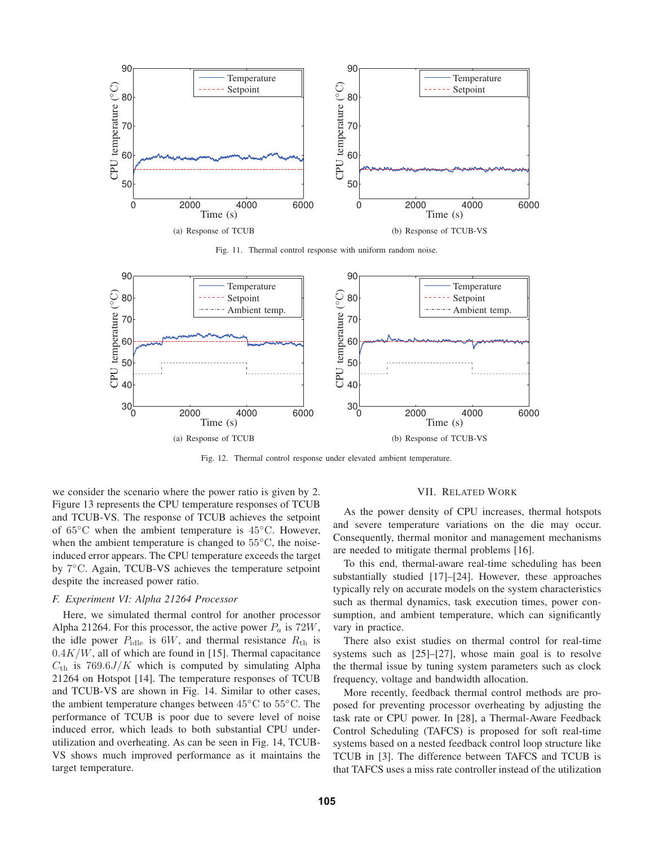

Fig. 11. Thermal control response with uniform random noise.



Fig. 12. Thermal control response under elevated ambient temperature.

we consider the scenario where the power ratio is given by 2. Figure 13 represents the CPU temperature responses of TCUB and TCUB-VS. The response of TCUB achieves the setpoint of 65◦C when the ambient temperature is 45◦C. However, when the ambient temperature is changed to  $55^{\circ}$ C, the noiseinduced error appears. The CPU temperature exceeds the target by 7◦C. Again, TCUB-VS achieves the temperature setpoint despite the increased power ratio.

## *F. Experiment VI: Alpha 21264 Processor*

Here, we simulated thermal control for another processor Alpha 21264. For this processor, the active power  $P_a$  is 72W, the idle power  $P_{\text{idle}}$  is 6W, and thermal resistance  $R_{\text{th}}$  is  $0.4K/W$ , all of which are found in [15]. Thermal capacitance  $C_{\text{th}}$  is 769.6J/K which is computed by simulating Alpha 21264 on Hotspot [14]. The temperature responses of TCUB and TCUB-VS are shown in Fig. 14. Similar to other cases, the ambient temperature changes between 45◦C to 55◦C. The performance of TCUB is poor due to severe level of noise induced error, which leads to both substantial CPU underutilization and overheating. As can be seen in Fig. 14, TCUB-VS shows much improved performance as it maintains the target temperature.

## VII. RELATED WORK

As the power density of CPU increases, thermal hotspots and severe temperature variations on the die may occur. Consequently, thermal monitor and management mechanisms are needed to mitigate thermal problems [16].

To this end, thermal-aware real-time scheduling has been substantially studied [17]–[24]. However, these approaches typically rely on accurate models on the system characteristics such as thermal dynamics, task execution times, power consumption, and ambient temperature, which can significantly vary in practice.

There also exist studies on thermal control for real-time systems such as [25]–[27], whose main goal is to resolve the thermal issue by tuning system parameters such as clock frequency, voltage and bandwidth allocation.

More recently, feedback thermal control methods are proposed for preventing processor overheating by adjusting the task rate or CPU power. In [28], a Thermal-Aware Feedback Control Scheduling (TAFCS) is proposed for soft real-time systems based on a nested feedback control loop structure like TCUB in [3]. The difference between TAFCS and TCUB is that TAFCS uses a miss rate controller instead of the utilization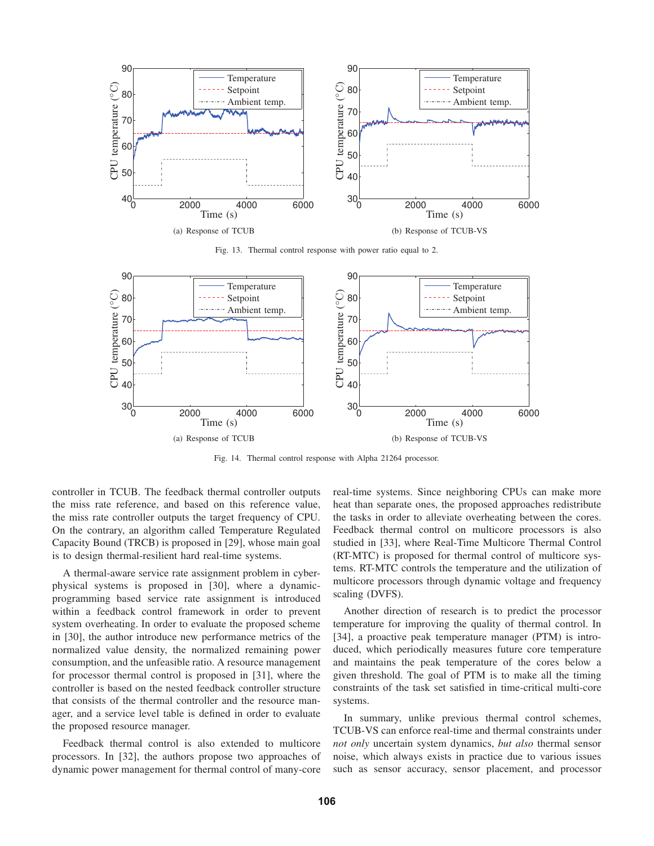

Fig. 13. Thermal control response with power ratio equal to 2.



Fig. 14. Thermal control response with Alpha 21264 processor.

controller in TCUB. The feedback thermal controller outputs the miss rate reference, and based on this reference value, the miss rate controller outputs the target frequency of CPU. On the contrary, an algorithm called Temperature Regulated Capacity Bound (TRCB) is proposed in [29], whose main goal is to design thermal-resilient hard real-time systems.

A thermal-aware service rate assignment problem in cyberphysical systems is proposed in [30], where a dynamicprogramming based service rate assignment is introduced within a feedback control framework in order to prevent system overheating. In order to evaluate the proposed scheme in [30], the author introduce new performance metrics of the normalized value density, the normalized remaining power consumption, and the unfeasible ratio. A resource management for processor thermal control is proposed in [31], where the controller is based on the nested feedback controller structure that consists of the thermal controller and the resource manager, and a service level table is defined in order to evaluate the proposed resource manager.

Feedback thermal control is also extended to multicore processors. In [32], the authors propose two approaches of dynamic power management for thermal control of many-core

real-time systems. Since neighboring CPUs can make more heat than separate ones, the proposed approaches redistribute the tasks in order to alleviate overheating between the cores. Feedback thermal control on multicore processors is also studied in [33], where Real-Time Multicore Thermal Control (RT-MTC) is proposed for thermal control of multicore systems. RT-MTC controls the temperature and the utilization of multicore processors through dynamic voltage and frequency scaling (DVFS).

Another direction of research is to predict the processor temperature for improving the quality of thermal control. In [34], a proactive peak temperature manager (PTM) is introduced, which periodically measures future core temperature and maintains the peak temperature of the cores below a given threshold. The goal of PTM is to make all the timing constraints of the task set satisfied in time-critical multi-core systems.

In summary, unlike previous thermal control schemes, TCUB-VS can enforce real-time and thermal constraints under *not only* uncertain system dynamics, *but also* thermal sensor noise, which always exists in practice due to various issues such as sensor accuracy, sensor placement, and processor